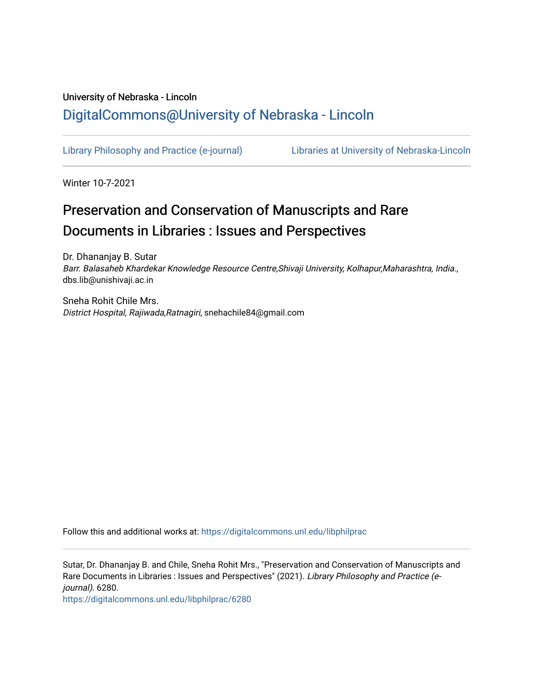## University of Nebraska - Lincoln [DigitalCommons@University of Nebraska - Lincoln](https://digitalcommons.unl.edu/)

[Library Philosophy and Practice \(e-journal\)](https://digitalcommons.unl.edu/libphilprac) [Libraries at University of Nebraska-Lincoln](https://digitalcommons.unl.edu/libraries) 

Winter 10-7-2021

# Preservation and Conservation of Manuscripts and Rare Documents in Libraries : Issues and Perspectives

Dr. Dhananjay B. Sutar Barr. Balasaheb Khardekar Knowledge Resource Centre,Shivaji University, Kolhapur,Maharashtra, India., dbs.lib@unishivaji.ac.in

Sneha Rohit Chile Mrs. District Hospital, Rajiwada,Ratnagiri, snehachile84@gmail.com

Follow this and additional works at: [https://digitalcommons.unl.edu/libphilprac](https://digitalcommons.unl.edu/libphilprac?utm_source=digitalcommons.unl.edu%2Flibphilprac%2F6280&utm_medium=PDF&utm_campaign=PDFCoverPages) 

Sutar, Dr. Dhananjay B. and Chile, Sneha Rohit Mrs., "Preservation and Conservation of Manuscripts and Rare Documents in Libraries : Issues and Perspectives" (2021). Library Philosophy and Practice (ejournal). 6280.

[https://digitalcommons.unl.edu/libphilprac/6280](https://digitalcommons.unl.edu/libphilprac/6280?utm_source=digitalcommons.unl.edu%2Flibphilprac%2F6280&utm_medium=PDF&utm_campaign=PDFCoverPages)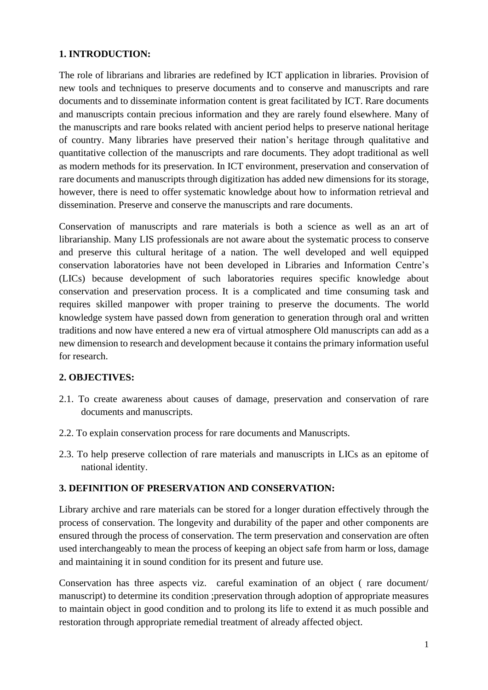## **1. INTRODUCTION:**

The role of librarians and libraries are redefined by ICT application in libraries. Provision of new tools and techniques to preserve documents and to conserve and manuscripts and rare documents and to disseminate information content is great facilitated by ICT. Rare documents and manuscripts contain precious information and they are rarely found elsewhere. Many of the manuscripts and rare books related with ancient period helps to preserve national heritage of country. Many libraries have preserved their nation's heritage through qualitative and quantitative collection of the manuscripts and rare documents. They adopt traditional as well as modern methods for its preservation. In ICT environment, preservation and conservation of rare documents and manuscripts through digitization has added new dimensions for its storage, however, there is need to offer systematic knowledge about how to information retrieval and dissemination. Preserve and conserve the manuscripts and rare documents.

Conservation of manuscripts and rare materials is both a science as well as an art of librarianship. Many LIS professionals are not aware about the systematic process to conserve and preserve this cultural heritage of a nation. The well developed and well equipped conservation laboratories have not been developed in Libraries and Information Centre's (LICs) because development of such laboratories requires specific knowledge about conservation and preservation process. It is a complicated and time consuming task and requires skilled manpower with proper training to preserve the documents. The world knowledge system have passed down from generation to generation through oral and written traditions and now have entered a new era of virtual atmosphere Old manuscripts can add as a new dimension to research and development because it contains the primary information useful for research.

## **2. OBJECTIVES:**

- 2.1. To create awareness about causes of damage, preservation and conservation of rare documents and manuscripts.
- 2.2. To explain conservation process for rare documents and Manuscripts.
- 2.3. To help preserve collection of rare materials and manuscripts in LICs as an epitome of national identity.

## **3. DEFINITION OF PRESERVATION AND CONSERVATION:**

Library archive and rare materials can be stored for a longer duration effectively through the process of conservation. The longevity and durability of the paper and other components are ensured through the process of conservation. The term preservation and conservation are often used interchangeably to mean the process of keeping an object safe from harm or loss, damage and maintaining it in sound condition for its present and future use.

Conservation has three aspects viz. careful examination of an object ( rare document/ manuscript) to determine its condition ;preservation through adoption of appropriate measures to maintain object in good condition and to prolong its life to extend it as much possible and restoration through appropriate remedial treatment of already affected object.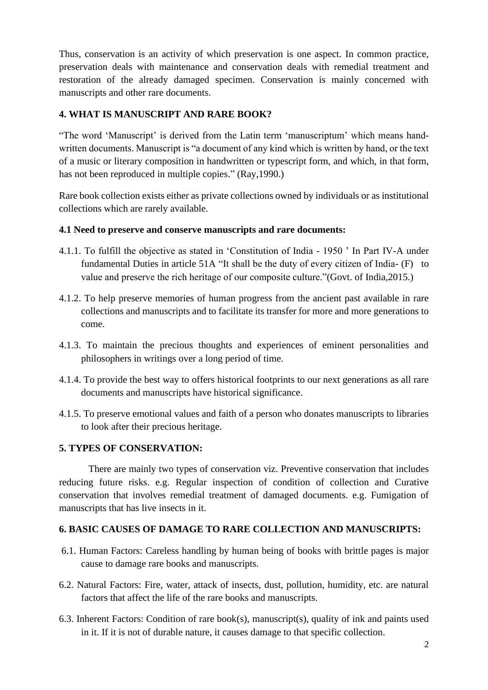Thus, conservation is an activity of which preservation is one aspect. In common practice, preservation deals with maintenance and conservation deals with remedial treatment and restoration of the already damaged specimen. Conservation is mainly concerned with manuscripts and other rare documents.

## **4. WHAT IS MANUSCRIPT AND RARE BOOK?**

"The word 'Manuscript' is derived from the Latin term 'manuscriptum' which means handwritten documents. Manuscript is "a document of any kind which is written by hand, or the text of a music or literary composition in handwritten or typescript form, and which, in that form, has not been reproduced in multiple copies." (Ray, 1990.)

Rare book collection exists either as private collections owned by individuals or as institutional collections which are rarely available.

#### **4.1 Need to preserve and conserve manuscripts and rare documents:**

- 4.1.1. To fulfill the objective as stated in 'Constitution of India 1950 ' In Part IV-A under fundamental Duties in article 51A "It shall be the duty of every citizen of India- (F) to value and preserve the rich heritage of our composite culture."(Govt. of India,2015.)
- 4.1.2. To help preserve memories of human progress from the ancient past available in rare collections and manuscripts and to facilitate its transfer for more and more generations to come.
- 4.1.3. To maintain the precious thoughts and experiences of eminent personalities and philosophers in writings over a long period of time.
- 4.1.4. To provide the best way to offers historical footprints to our next generations as all rare documents and manuscripts have historical significance.
- 4.1.5. To preserve emotional values and faith of a person who donates manuscripts to libraries to look after their precious heritage.

## **5. TYPES OF CONSERVATION:**

There are mainly two types of conservation viz. Preventive conservation that includes reducing future risks. e.g. Regular inspection of condition of collection and Curative conservation that involves remedial treatment of damaged documents. e.g. Fumigation of manuscripts that has live insects in it.

## **6. BASIC CAUSES OF DAMAGE TO RARE COLLECTION AND MANUSCRIPTS:**

- 6.1. Human Factors: Careless handling by human being of books with brittle pages is major cause to damage rare books and manuscripts.
- 6.2. Natural Factors: Fire, water, attack of insects, dust, pollution, humidity, etc. are natural factors that affect the life of the rare books and manuscripts.
- 6.3. Inherent Factors: Condition of rare book(s), manuscript(s), quality of ink and paints used in it. If it is not of durable nature, it causes damage to that specific collection.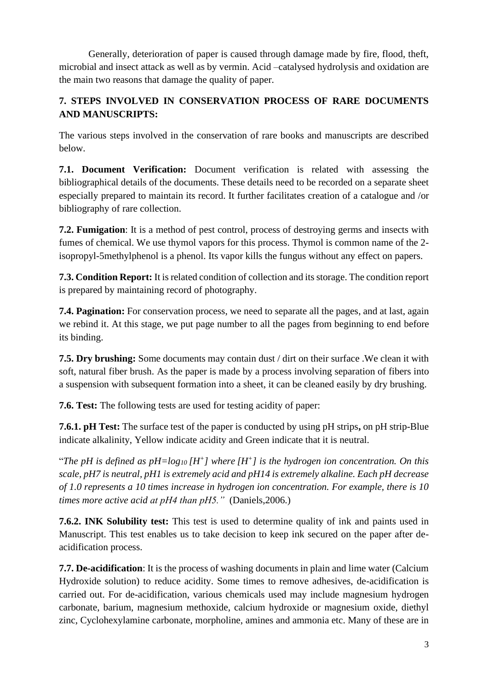Generally, deterioration of paper is caused through damage made by fire, flood, theft, microbial and insect attack as well as by vermin. Acid –catalysed hydrolysis and oxidation are the main two reasons that damage the quality of paper.

## **7. STEPS INVOLVED IN CONSERVATION PROCESS OF RARE DOCUMENTS AND MANUSCRIPTS:**

The various steps involved in the conservation of rare books and manuscripts are described below.

**7.1. Document Verification:** Document verification is related with assessing the bibliographical details of the documents. These details need to be recorded on a separate sheet especially prepared to maintain its record. It further facilitates creation of a catalogue and /or bibliography of rare collection.

**7.2. Fumigation**: It is a method of pest control, process of destroying germs and insects with fumes of chemical. We use thymol vapors for this process. Thymol is common name of the 2 isopropyl-5methylphenol is a phenol. Its vapor kills the fungus without any effect on papers.

**7.3. Condition Report:** It is related condition of collection and its storage. The condition report is prepared by maintaining record of photography.

**7.4. Pagination:** For conservation process, we need to separate all the pages, and at last, again we rebind it. At this stage, we put page number to all the pages from beginning to end before its binding.

**7.5. Dry brushing:** Some documents may contain dust / dirt on their surface .We clean it with soft, natural fiber brush. As the paper is made by a process involving separation of fibers into a suspension with subsequent formation into a sheet, it can be cleaned easily by dry brushing.

**7.6. Test:** The following tests are used for testing acidity of paper:

**7.6.1. pH Test:** The surface test of the paper is conducted by using pH strips**,** on pH strip-Blue indicate alkalinity, Yellow indicate acidity and Green indicate that it is neutral.

"The pH is defined as  $pH = log_{10} [H^+]$  where  $[H^+]$  is the hydrogen ion concentration. On this *scale, pH7 is neutral, pH1 is extremely acid and pH14 is extremely alkaline. Each pH decrease of 1.0 represents a 10 times increase in hydrogen ion concentration. For example, there is 10 times more active acid at pH4 than pH5."* (Daniels,2006.)

**7.6.2. INK Solubility test:** This test is used to determine quality of ink and paints used in Manuscript. This test enables us to take decision to keep ink secured on the paper after deacidification process.

**7.7. De-acidification**: It is the process of washing documents in plain and lime water (Calcium Hydroxide solution) to reduce acidity. Some times to remove adhesives, de-acidification is carried out. For de-acidification, various chemicals used may include magnesium hydrogen carbonate, barium, magnesium methoxide, calcium hydroxide or magnesium oxide, diethyl zinc, Cyclohexylamine carbonate, morpholine, amines and ammonia etc. Many of these are in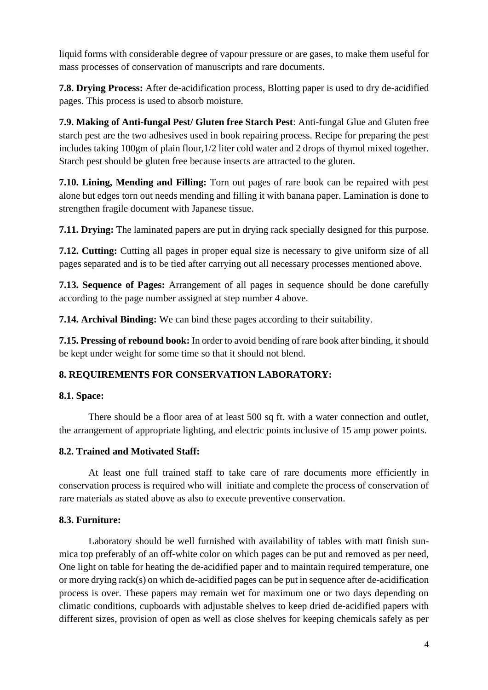liquid forms with considerable degree of vapour pressure or are gases, to make them useful for mass processes of conservation of manuscripts and rare documents.

**7.8. Drying Process:** After de-acidification process, Blotting paper is used to dry de-acidified pages. This process is used to absorb moisture.

**7.9. Making of Anti-fungal Pest/ Gluten free Starch Pest**: Anti-fungal Glue and Gluten free starch pest are the two adhesives used in book repairing process. Recipe for preparing the pest includes taking 100gm of plain flour,1/2 liter cold water and 2 drops of thymol mixed together. Starch pest should be gluten free because insects are attracted to the gluten.

**7.10. Lining, Mending and Filling:** Torn out pages of rare book can be repaired with pest alone but edges torn out needs mending and filling it with banana paper. Lamination is done to strengthen fragile document with Japanese tissue.

**7.11. Drying:** The laminated papers are put in drying rack specially designed for this purpose.

**7.12. Cutting:** Cutting all pages in proper equal size is necessary to give uniform size of all pages separated and is to be tied after carrying out all necessary processes mentioned above.

**7.13. Sequence of Pages:** Arrangement of all pages in sequence should be done carefully according to the page number assigned at step number 4 above.

**7.14. Archival Binding:** We can bind these pages according to their suitability.

**7.15. Pressing of rebound book:** In order to avoid bending of rare book after binding, it should be kept under weight for some time so that it should not blend.

## **8. REQUIREMENTS FOR CONSERVATION LABORATORY:**

## **8.1. Space:**

There should be a floor area of at least 500 sq ft. with a water connection and outlet, the arrangement of appropriate lighting, and electric points inclusive of 15 amp power points.

## **8.2. Trained and Motivated Staff:**

At least one full trained staff to take care of rare documents more efficiently in conservation process is required who will initiate and complete the process of conservation of rare materials as stated above as also to execute preventive conservation.

## **8.3. Furniture:**

Laboratory should be well furnished with availability of tables with matt finish sunmica top preferably of an off-white color on which pages can be put and removed as per need, One light on table for heating the de-acidified paper and to maintain required temperature, one or more drying rack(s) on which de-acidified pages can be put in sequence after de-acidification process is over. These papers may remain wet for maximum one or two days depending on climatic conditions, cupboards with adjustable shelves to keep dried de-acidified papers with different sizes, provision of open as well as close shelves for keeping chemicals safely as per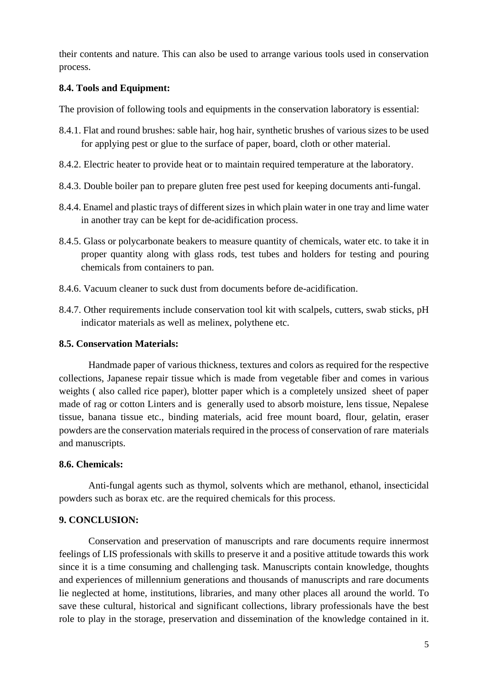their contents and nature. This can also be used to arrange various tools used in conservation process.

#### **8.4. Tools and Equipment:**

The provision of following tools and equipments in the conservation laboratory is essential:

- 8.4.1. Flat and round brushes: sable hair, hog hair, synthetic brushes of various sizes to be used for applying pest or glue to the surface of paper, board, cloth or other material.
- 8.4.2. Electric heater to provide heat or to maintain required temperature at the laboratory.
- 8.4.3. Double boiler pan to prepare gluten free pest used for keeping documents anti-fungal.
- 8.4.4. Enamel and plastic trays of different sizes in which plain water in one tray and lime water in another tray can be kept for de-acidification process.
- 8.4.5. Glass or polycarbonate beakers to measure quantity of chemicals, water etc. to take it in proper quantity along with glass rods, test tubes and holders for testing and pouring chemicals from containers to pan.
- 8.4.6. Vacuum cleaner to suck dust from documents before de-acidification.
- 8.4.7. Other requirements include conservation tool kit with scalpels, cutters, swab sticks, pH indicator materials as well as melinex, polythene etc.

#### **8.5. Conservation Materials:**

Handmade paper of various thickness, textures and colors as required for the respective collections, Japanese repair tissue which is made from vegetable fiber and comes in various weights ( also called rice paper), blotter paper which is a completely unsized sheet of paper made of rag or cotton Linters and is generally used to absorb moisture, lens tissue, Nepalese tissue, banana tissue etc., binding materials, acid free mount board, flour, gelatin, eraser powders are the conservation materials required in the process of conservation of rare materials and manuscripts.

## **8.6. Chemicals:**

Anti-fungal agents such as thymol, solvents which are methanol, ethanol, insecticidal powders such as borax etc. are the required chemicals for this process.

## **9. CONCLUSION:**

Conservation and preservation of manuscripts and rare documents require innermost feelings of LIS professionals with skills to preserve it and a positive attitude towards this work since it is a time consuming and challenging task. Manuscripts contain knowledge, thoughts and experiences of millennium generations and thousands of manuscripts and rare documents lie neglected at home, institutions, libraries, and many other places all around the world. To save these cultural, historical and significant collections, library professionals have the best role to play in the storage, preservation and dissemination of the knowledge contained in it.